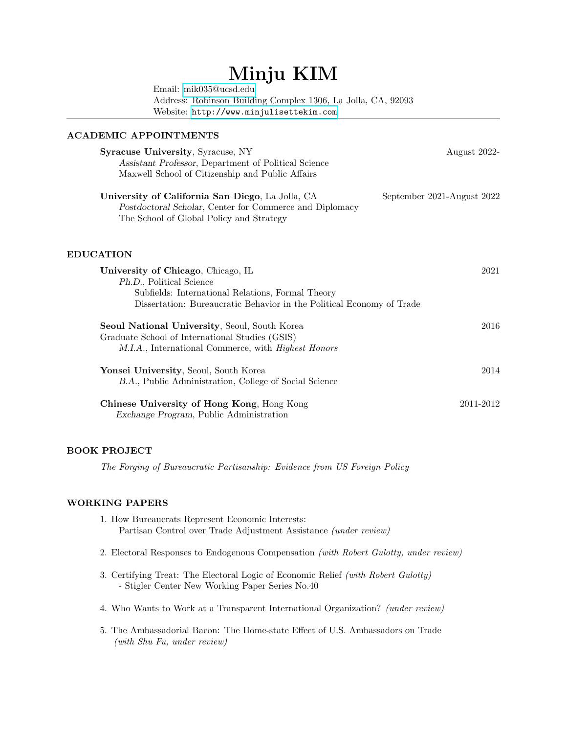# Minju KIM

Email: [mik035@ucsd.edu](mailto:mik035@ucsd.edu) Address: Robinson Building Complex 1306, La Jolla, CA, 92093 Website: <http://www.minjulisettekim.com>

## ACADEMIC APPOINTMENTS

| <b>Syracuse University, Syracuse, NY</b><br>Assistant Professor, Department of Political Science<br>Maxwell School of Citizenship and Public Affairs                                         | August 2022-               |
|----------------------------------------------------------------------------------------------------------------------------------------------------------------------------------------------|----------------------------|
| University of California San Diego, La Jolla, CA<br>Postdoctoral Scholar, Center for Commerce and Diplomacy<br>The School of Global Policy and Strategy                                      | September 2021-August 2022 |
| <b>EDUCATION</b>                                                                                                                                                                             |                            |
| University of Chicago, Chicago, IL<br>Ph.D., Political Science<br>Subfields: International Relations, Formal Theory<br>Dissertation: Bureaucratic Behavior in the Political Economy of Trade | 2021                       |
| Seoul National University, Seoul, South Korea<br>Graduate School of International Studies (GSIS)<br>M.I.A., International Commerce, with <i>Highest Honors</i>                               | 2016                       |
| Yonsei University, Seoul, South Korea<br>B.A., Public Administration, College of Social Science                                                                                              | 2014                       |
| Chinese University of Hong Kong, Hong Kong<br>Exchange Program, Public Administration                                                                                                        | 2011-2012                  |

# BOOK PROJECT

The Forging of Bureaucratic Partisanship: Evidence from US Foreign Policy

# WORKING PAPERS

- 1. How Bureaucrats Represent Economic Interests: Partisan Control over Trade Adjustment Assistance (under review)
- 2. Electoral Responses to Endogenous Compensation (with Robert Gulotty, under review)
- 3. Certifying Treat: The Electoral Logic of Economic Relief (with Robert Gulotty) - Stigler Center New Working Paper Series No.40
- 4. Who Wants to Work at a Transparent International Organization? (under review)
- 5. The Ambassadorial Bacon: The Home-state Effect of U.S. Ambassadors on Trade (with Shu Fu, under review)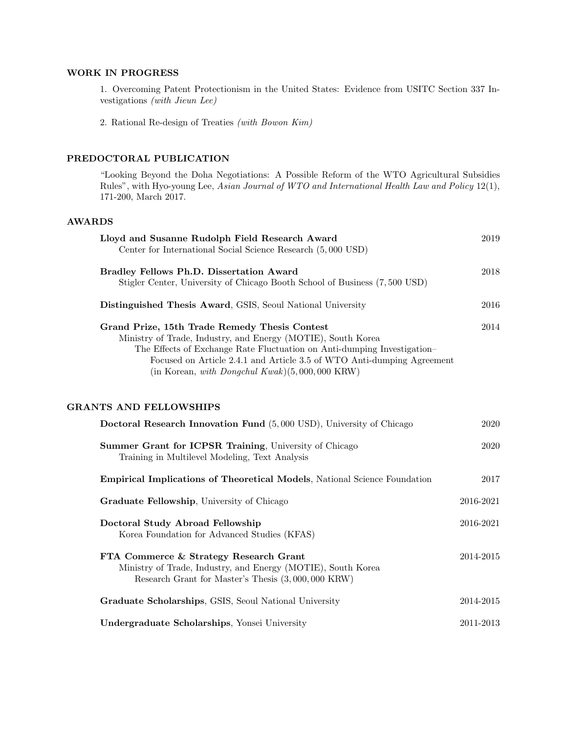# WORK IN PROGRESS

1. Overcoming Patent Protectionism in the United States: Evidence from USITC Section 337 Investigations (with Jieun Lee)

2. Rational Re-design of Treaties (with Bowon Kim)

# PREDOCTORAL PUBLICATION

"Looking Beyond the Doha Negotiations: A Possible Reform of the WTO Agricultural Subsidies Rules", with Hyo-young Lee, Asian Journal of WTO and International Health Law and Policy 12(1), 171-200, March 2017.

### AWARDS

|                                                | Lloyd and Susanne Rudolph Field Research Award<br>Center for International Social Science Research (5,000 USD)                                                                                                                                                                 | 2019          |
|------------------------------------------------|--------------------------------------------------------------------------------------------------------------------------------------------------------------------------------------------------------------------------------------------------------------------------------|---------------|
| Bradley Fellows Ph.D. Dissertation Award       | Stigler Center, University of Chicago Booth School of Business (7,500 USD)                                                                                                                                                                                                     | 2018          |
|                                                | Distinguished Thesis Award, GSIS, Seoul National University                                                                                                                                                                                                                    | 2016          |
| Grand Prize, 15th Trade Remedy Thesis Contest  | Ministry of Trade, Industry, and Energy (MOTIE), South Korea<br>The Effects of Exchange Rate Fluctuation on Anti-dumping Investigation-<br>Focused on Article 2.4.1 and Article 3.5 of WTO Anti-dumping Agreement<br>(in Korean, with Dongchul Kwak) $(5,000,000 \text{ KRW})$ | 2014          |
| <b>GRANTS AND FELLOWSHIPS</b>                  |                                                                                                                                                                                                                                                                                |               |
|                                                | Doctoral Research Innovation Fund (5,000 USD), University of Chicago                                                                                                                                                                                                           | 2020          |
| Training in Multilevel Modeling, Text Analysis | Summer Grant for ICPSR Training, University of Chicago                                                                                                                                                                                                                         | 2020          |
|                                                | <b>Empirical Implications of Theoretical Models, National Science Foundation</b>                                                                                                                                                                                               | 2017          |
| Graduate Fellowship, University of Chicago     |                                                                                                                                                                                                                                                                                | 2016-2021     |
| Doctoral Study Abroad Fellowship               | Korea Foundation for Advanced Studies (KFAS)                                                                                                                                                                                                                                   | 2016-2021     |
| FTA Commerce & Strategy Research Grant         | Ministry of Trade, Industry, and Energy (MOTIE), South Korea<br>Research Grant for Master's Thesis $(3,000,000 \text{ KRW})$                                                                                                                                                   | $2014 - 2015$ |
|                                                | Graduate Scholarships, GSIS, Seoul National University                                                                                                                                                                                                                         | 2014-2015     |
| Undergraduate Scholarships, Yonsei University  |                                                                                                                                                                                                                                                                                | 2011-2013     |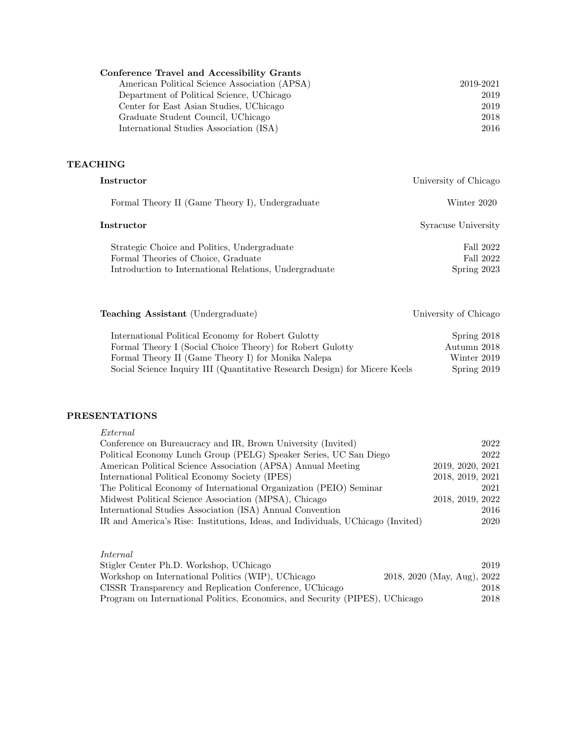| <b>Conference Travel and Accessibility Grants</b> |           |
|---------------------------------------------------|-----------|
| American Political Science Association (APSA)     | 2019-2021 |
| Department of Political Science, UChicago         | 2019      |
| Center for East Asian Studies, UChicago           | 2019      |
| Graduate Student Council, UChicago                | 2018      |
| International Studies Association (ISA)           | 2016      |

# **TEACHING**

| Instructor                                                                                                                                    | University of Chicago                   |
|-----------------------------------------------------------------------------------------------------------------------------------------------|-----------------------------------------|
| Formal Theory II (Game Theory I), Undergraduate                                                                                               | Winter 2020                             |
| Instructor                                                                                                                                    | Syracuse University                     |
| Strategic Choice and Politics, Undergraduate<br>Formal Theories of Choice, Graduate<br>Introduction to International Relations, Undergraduate | Fall 2022<br>Fall 2022<br>Spring $2023$ |

Teaching Assistant (Undergraduate) University of Chicago International Political Economy for Robert Gulotty Spring 2018<br>Formal Theory I (Social Choice Theory) for Robert Gulotty Autumn 2018 Formal Theory I (Social Choice Theory) for Robert Gulotty Autumn 2018<br>Formal Theory II (Game Theory I) for Monika Nalepa Winter 2019 Formal Theory II (Game Theory I) for Monika Nalepa Winter 2019<br>Social Science Inquiry III (Quantitative Research Design) for Micere Keels Spring 2019 Social Science Inquiry III (Quantitative Research Design) for Micere Keels

# PRESENTATIONS

| External                                                                        |                  |
|---------------------------------------------------------------------------------|------------------|
| Conference on Bureaucracy and IR, Brown University (Invited)                    | 2022             |
| Political Economy Lunch Group (PELG) Speaker Series, UC San Diego               | 2022             |
| American Political Science Association (APSA) Annual Meeting                    | 2019, 2020, 2021 |
| International Political Economy Society (IPES)                                  | 2018, 2019, 2021 |
| The Political Economy of International Organization (PEIO) Seminar              | 2021             |
| Midwest Political Science Association (MPSA), Chicago                           | 2018, 2019, 2022 |
| International Studies Association (ISA) Annual Convention                       | 2016             |
| IR and America's Rise: Institutions, Ideas, and Individuals, UChicago (Invited) | 2020             |

## Internal

| Stigler Center Ph.D. Workshop, UChicago                                      | 2019                        |
|------------------------------------------------------------------------------|-----------------------------|
| Workshop on International Politics (WIP), UChicago                           | 2018, 2020 (May, Aug), 2022 |
| CISSR Transparency and Replication Conference, UChicago                      | 2018                        |
| Program on International Politics, Economics, and Security (PIPES), UChicago | 2018                        |